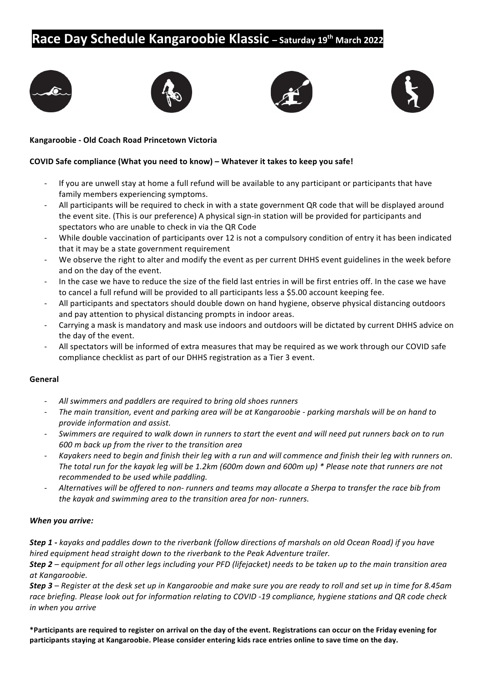# **Race Day Schedule Kangaroobie Klassic** - Saturday 19<sup>th</sup> March 2022









### **Kangaroobie - Old Coach Road Princetown Victoria**

#### **COVID** Safe compliance (What you need to know) – Whatever it takes to keep you safe!

- If you are unwell stay at home a full refund will be available to any participant or participants that have family members experiencing symptoms.
- All participants will be required to check in with a state government QR code that will be displayed around the event site. (This is our preference) A physical sign-in station will be provided for participants and spectators who are unable to check in via the QR Code
- While double vaccination of participants over 12 is not a compulsory condition of entry it has been indicated that it may be a state government requirement
- We observe the right to alter and modify the event as per current DHHS event guidelines in the week before and on the day of the event.
- In the case we have to reduce the size of the field last entries in will be first entries off. In the case we have to cancel a full refund will be provided to all participants less a \$5.00 account keeping fee.
- All participants and spectators should double down on hand hygiene, observe physical distancing outdoors and pay attention to physical distancing prompts in indoor areas.
- Carrying a mask is mandatory and mask use indoors and outdoors will be dictated by current DHHS advice on the day of the event.
- All spectators will be informed of extra measures that may be required as we work through our COVID safe compliance checklist as part of our DHHS registration as a Tier 3 event.

#### **General**

- All swimmers and paddlers are required to bring old shoes runners
- *The main transition, event and parking area will be at Kangaroobie parking marshals will be on hand to provide information and assist.*
- *Swimmers are required to walk down in runners to start the event and will need put runners back on to run 600 m back up from the river to the transition area*
- Kayakers need to begin and finish their leg with a run and will commence and finish their leg with runners on. *The total run for the kayak leg will be 1.2km (600m down and 600m up) \** Please note that runners are not *recommended to be used while paddling.*
- Alternatives will be offered to non- runners and teams may allocate a Sherpa to transfer the race bib from *the kayak and swimming area to the transition area for non- runners.*

#### *When you arrive:*

**Step 1** - kayaks and paddles down to the riverbank (follow directions of marshals on old Ocean Road) if you have *hired* equipment head straight down to the riverbank to the Peak Adventure trailer.

*Step 2 – equipment for all other legs including your PFD (lifejacket) needs to be taken up to the main transition area at Kangaroobie.*

*Step 3 – Register at the desk set up in Kangaroobie and make sure you are ready to roll and set up in time for 8.45am* race briefing. Please look out for information relating to COVID -19 compliance, hygiene stations and QR code check *in* when you arrive

\*Participants are required to register on arrival on the day of the event. Registrations can occur on the Friday evening for participants staying at Kangaroobie. Please consider entering kids race entries online to save time on the day.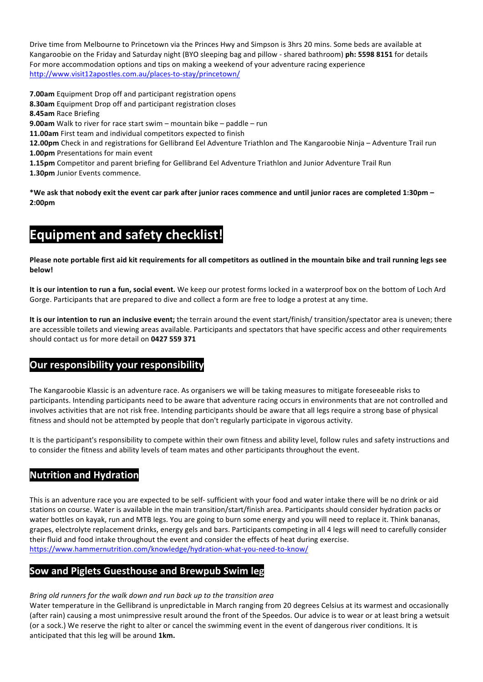Drive time from Melbourne to Princetown via the Princes Hwy and Simpson is 3hrs 20 mins. Some beds are available at Kangaroobie on the Friday and Saturday night (BYO sleeping bag and pillow - shared bathroom) **ph: 5598 8151** for details For more accommodation options and tips on making a weekend of your adventure racing experience http://www.visit12apostles.com.au/places-to-stay/princetown/

**7.00am** Equipment Drop off and participant registration opens

- **8.30am** Equipment Drop off and participant registration closes
- **8.45am** Race Briefing
- **9.00am** Walk to river for race start swim mountain bike paddle run
- 11.00am First team and individual competitors expected to finish
- **12.00pm** Check in and registrations for Gellibrand Eel Adventure Triathlon and The Kangaroobie Ninja Adventure Trail run
- **1.00pm** Presentations for main event
- **1.15pm** Competitor and parent briefing for Gellibrand Eel Adventure Triathlon and Junior Adventure Trail Run

**1.30pm** Junior Events commence.

\*We ask that nobody exit the event car park after junior races commence and until junior races are completed 1:30pm – **2:00pm** 

# **Equipment and safety checklist!**

Please note portable first aid kit requirements for all competitors as outlined in the mountain bike and trail running legs see **below!**

It is our intention to run a fun, social event. We keep our protest forms locked in a waterproof box on the bottom of Loch Ard Gorge. Participants that are prepared to dive and collect a form are free to lodge a protest at any time.

It is our intention to run an inclusive event; the terrain around the event start/finish/ transition/spectator area is uneven; there are accessible toilets and viewing areas available. Participants and spectators that have specific access and other requirements should contact us for more detail on 0427 559 371

## **Our responsibility your responsibility**

The Kangaroobie Klassic is an adventure race. As organisers we will be taking measures to mitigate foreseeable risks to participants. Intending participants need to be aware that adventure racing occurs in environments that are not controlled and involves activities that are not risk free. Intending participants should be aware that all legs require a strong base of physical fitness and should not be attempted by people that don't regularly participate in vigorous activity.

It is the participant's responsibility to compete within their own fitness and ability level, follow rules and safety instructions and to consider the fitness and ability levels of team mates and other participants throughout the event.

## **Nutrition and Hydration**

This is an adventure race you are expected to be self- sufficient with your food and water intake there will be no drink or aid stations on course. Water is available in the main transition/start/finish area. Participants should consider hydration packs or water bottles on kayak, run and MTB legs. You are going to burn some energy and you will need to replace it. Think bananas, grapes, electrolyte replacement drinks, energy gels and bars. Participants competing in all 4 legs will need to carefully consider their fluid and food intake throughout the event and consider the effects of heat during exercise. https://www.hammernutrition.com/knowledge/hydration-what-you-need-to-know/

## **Sow and Piglets Guesthouse and Brewpub Swim leg**

#### *Bring* old runners for the walk down and run back up to the transition area

Water temperature in the Gellibrand is unpredictable in March ranging from 20 degrees Celsius at its warmest and occasionally (after rain) causing a most unimpressive result around the front of the Speedos. Our advice is to wear or at least bring a wetsuit (or a sock.) We reserve the right to alter or cancel the swimming event in the event of dangerous river conditions. It is anticipated that this leg will be around 1km.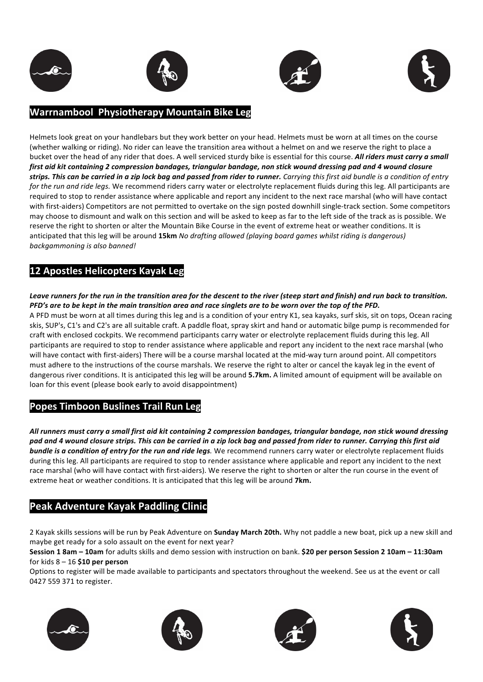







## **Warrnambool Physiotherapy Mountain Bike Leg**

Helmets look great on your handlebars but they work better on your head. Helmets must be worn at all times on the course (whether walking or riding). No rider can leave the transition area without a helmet on and we reserve the right to place a bucket over the head of any rider that does. A well serviced sturdy bike is essential for this course. All riders must carry a small first aid kit containing 2 compression bandages, triangular bandage, non stick wound dressing pad and 4 wound closure strips. This can be carried in a zip lock bag and passed from rider to runner. Carrying this first aid bundle is a condition of entry *for the run and ride legs.* We recommend riders carry water or electrolyte replacement fluids during this leg. All participants are required to stop to render assistance where applicable and report any incident to the next race marshal (who will have contact with first-aiders) Competitors are not permitted to overtake on the sign posted downhill single-track section. Some competitors may choose to dismount and walk on this section and will be asked to keep as far to the left side of the track as is possible. We reserve the right to shorten or alter the Mountain Bike Course in the event of extreme heat or weather conditions. It is anticipated that this leg will be around 15km *No drafting allowed (playing board games whilst riding is dangerous)* backgammoning is also banned!

# **12 Apostles Helicopters Kayak Leg**

Leave runners for the run in the transition area for the descent to the river (steep start and finish) and run back to transition. *PFD's* are to be kept in the main transition area and race singlets are to be worn over the top of the PFD.

A PFD must be worn at all times during this leg and is a condition of your entry K1, sea kayaks, surf skis, sit on tops, Ocean racing skis, SUP's, C1's and C2's are all suitable craft. A paddle float, spray skirt and hand or automatic bilge pump is recommended for craft with enclosed cockpits. We recommend participants carry water or electrolyte replacement fluids during this leg. All participants are required to stop to render assistance where applicable and report any incident to the next race marshal (who will have contact with first-aiders) There will be a course marshal located at the mid-way turn around point. All competitors must adhere to the instructions of the course marshals. We reserve the right to alter or cancel the kayak leg in the event of dangerous river conditions. It is anticipated this leg will be around 5.7km. A limited amount of equipment will be available on loan for this event (please book early to avoid disappointment)

## **Popes Timboon Buslines Trail Run Leg**

All runners must carry a small first aid kit containing 2 compression bandages, triangular bandage, non stick wound dressing pad and 4 wound closure strips. This can be carried in a zip lock bag and passed from rider to runner. Carrying this first aid **bundle is a condition of entry for the run and ride legs**. We recommend runners carry water or electrolyte replacement fluids during this leg. All participants are required to stop to render assistance where applicable and report any incident to the next race marshal (who will have contact with first-aiders). We reserve the right to shorten or alter the run course in the event of extreme heat or weather conditions. It is anticipated that this leg will be around 7km.

# **Peak Adventure Kayak Paddling Clinic**

2 Kayak skills sessions will be run by Peak Adventure on **Sunday March 20th.** Why not paddle a new boat, pick up a new skill and maybe get ready for a solo assault on the event for next year?

**Session 1 8am – 10am** for adults skills and demo session with instruction on bank. \$20 per person Session 2 10am – 11:30am for kids 8 – 16 **\$10 per person**

Options to register will be made available to participants and spectators throughout the weekend. See us at the event or call 0427 559 371 to register.